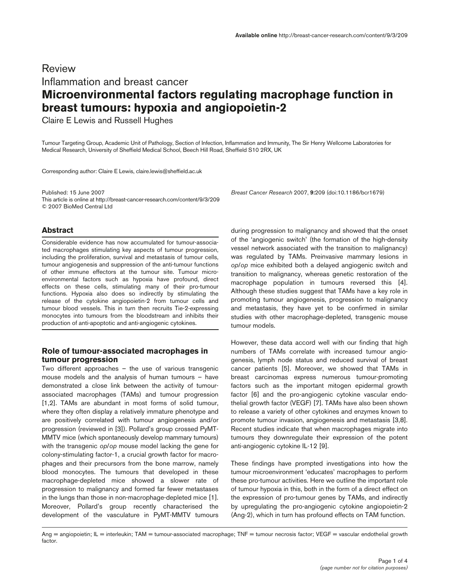# Review Inflammation and breast cancer **Microenvironmental factors regulating macrophage function in breast tumours: hypoxia and angiopoietin-2**

Claire E Lewis and Russell Hughes

Tumour Targeting Group, Academic Unit of Pathology, Section of Infection, Inflammation and Immunity, The Sir Henry Wellcome Laboratories for Medical Research, University of Sheffield Medical School, Beech Hill Road, Sheffield S10 2RX, UK

Corresponding author: Claire E Lewis, claire.lewis@sheffield.ac.uk

Published: 15 June 2007 *Breast Cancer Research* 2007, **9:**209 (doi:10.1186/bcr1679) This article is online at http://breast-cancer-research.com/content/9/3/209 © 2007 BioMed Central Ltd

# **Abstract**

Considerable evidence has now accumulated for tumour-associated macrophages stimulating key aspects of tumour progression, including the proliferation, survival and metastasis of tumour cells, tumour angiogenesis and suppression of the anti-tumour functions of other immune effectors at the tumour site. Tumour microenvironmental factors such as hypoxia have profound, direct effects on these cells, stimulating many of their pro-tumour functions. Hypoxia also does so indirectly by stimulating the release of the cytokine angiopoietin-2 from tumour cells and tumour blood vessels. This in turn then recruits Tie-2-expressing monocytes into tumours from the bloodstream and inhibits their production of anti-apoptotic and anti-angiogenic cytokines.

## **Role of tumour-associated macrophages in tumour progression**

Two different approaches – the use of various transgenic mouse models and the analysis of human tumours – have demonstrated a close link between the activity of tumourassociated macrophages (TAMs) and tumour progression [1,2]. TAMs are abundant in most forms of solid tumour, where they often display a relatively immature phenotype and are positively correlated with tumour angiogenesis and/or progression (reviewed in [3]). Pollard's group crossed PyMT-MMTV mice (which spontaneously develop mammary tumours) with the transgenic *op*/*op* mouse model lacking the gene for colony-stimulating factor-1, a crucial growth factor for macrophages and their precursors from the bone marrow, namely blood monocytes. The tumours that developed in these macrophage-depleted mice showed a slower rate of progression to malignancy and formed far fewer metastases in the lungs than those in non-macrophage-depleted mice [1]. Moreover, Pollard's group recently characterised the development of the vasculature in PyMT-MMTV tumours

during progression to malignancy and showed that the onset of the 'angiogenic switch' (the formation of the high-density vessel network associated with the transition to malignancy) was regulated by TAMs. Preinvasive mammary lesions in *op*/*op* mice exhibited both a delayed angiogenic switch and transition to malignancy, whereas genetic restoration of the macrophage population in tumours reversed this [4]. Although these studies suggest that TAMs have a key role in promoting tumour angiogenesis, progression to malignancy and metastasis, they have yet to be confirmed in similar studies with other macrophage-depleted, transgenic mouse tumour models.

However, these data accord well with our finding that high numbers of TAMs correlate with increased tumour angiogenesis, lymph node status and reduced survival of breast cancer patients [5]. Moreover, we showed that TAMs in breast carcinomas express numerous tumour-promoting factors such as the important mitogen epidermal growth factor [6] and the pro-angiogenic cytokine vascular endothelial growth factor (VEGF) [7]. TAMs have also been shown to release a variety of other cytokines and enzymes known to promote tumour invasion, angiogenesis and metastasis [3,8]. Recent studies indicate that when macrophages migrate into tumours they downregulate their expression of the potent anti-angiogenic cytokine IL-12 [9].

These findings have prompted investigations into how the tumour microenvironment 'educates' macrophages to perform these pro-tumour activities. Here we outline the important role of tumour hypoxia in this, both in the form of a direct effect on the expression of pro-tumour genes by TAMs, and indirectly by upregulating the pro-angiogenic cytokine angiopoietin-2 (Ang-2), which in turn has profound effects on TAM function.

Ang = angiopoietin; IL = interleukin; TAM = tumour-associated macrophage; TNF = tumour necrosis factor; VEGF = vascular endothelial growth factor.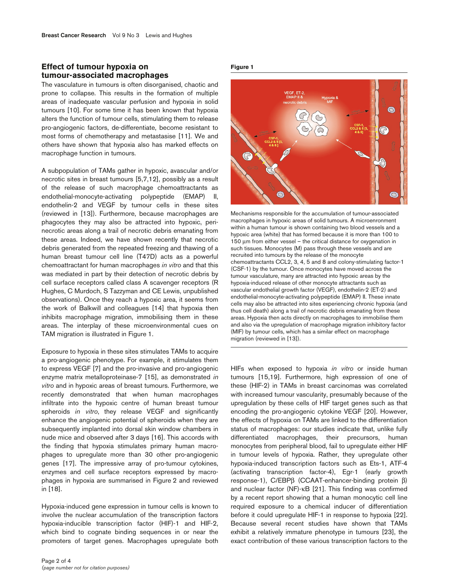### **Effect of tumour hypoxia on tumour-associated macrophages**

The vasculature in tumours is often disorganised, chaotic and prone to collapse. This results in the formation of multiple areas of inadequate vascular perfusion and hypoxia in solid tumours [10]. For some time it has been known that hypoxia alters the function of tumour cells, stimulating them to release pro-angiogenic factors, de-differentiate, become resistant to most forms of chemotherapy and metastasise [11]. We and others have shown that hypoxia also has marked effects on macrophage function in tumours.

A subpopulation of TAMs gather in hypoxic, avascular and/or necrotic sites in breast tumours [5,7,12], possibly as a result of the release of such macrophage chemoattractants as endothelial-monocyte-activating polypeptide (EMAP) II, endothelin-2 and VEGF by tumour cells in these sites (reviewed in [13]). Furthermore, because macrophages are phagocytes they may also be attracted into hypoxic, perinecrotic areas along a trail of necrotic debris emanating from these areas. Indeed, we have shown recently that necrotic debris generated from the repeated freezing and thawing of a human breast tumour cell line (T47D) acts as a powerful chemoattractant for human macrophages *in vitro* and that this was mediated in part by their detection of necrotic debris by cell surface receptors called class A scavenger receptors (R Hughes, C Murdoch, S Tazzyman and CE Lewis, unpublished observations). Once they reach a hypoxic area, it seems from the work of Balkwill and colleagues [14] that hypoxia then inhibits macrophage migration, immobilising them in these areas. The interplay of these microenvironmental cues on TAM migration is illustrated in Figure 1.

Exposure to hypoxia in these sites stimulates TAMs to acquire a pro-angiogenic phenotype. For example, it stimulates them to express VEGF [7] and the pro-invasive and pro-angiogenic enzyme matrix metalloproteinase-7 [15], as demonstrated *in vitro* and in hypoxic areas of breast tumours. Furthermore, we recently demonstrated that when human macrophages infiltrate into the hypoxic centre of human breast tumour spheroids *in vitro*, they release VEGF and significantly enhance the angiogenic potential of spheroids when they are subsequently implanted into dorsal skin window chambers in nude mice and observed after 3 days [16]. This accords with the finding that hypoxia stimulates primary human macrophages to upregulate more than 30 other pro-angiogenic genes [17]. The impressive array of pro-tumour cytokines, enzymes and cell surface receptors expressed by macrophages in hypoxia are summarised in Figure 2 and reviewed in [18].

Hypoxia-induced gene expression in tumour cells is known to involve the nuclear accumulation of the transcription factors hypoxia-inducible transcription factor (HIF)-1 and HIF-2, which bind to cognate binding sequences in or near the promoters of target genes. Macrophages upregulate both

#### **Figure 1**



Mechanisms responsible for the accumulation of tumour-associated macrophages in hypoxic areas of solid tumours. A microenronment within a human tumour is shown containing two blood vessels and a hypoxic area (white) that has formed because it is more than 100 to 150 µm from either vessel – the critical distance for oxygenation in such tissues. Monocytes (M) pass through these vessels and are recruited into tumours by the release of the monocyte chemoattractants CCL2, 3, 4, 5 and 8 and colony-stimulating factor-1 (CSF-1) by the tumour. Once monocytes have moved across the tumour vasculature, many are attracted into hypoxic areas by the hypoxia-induced release of other monocyte attractants such as vascular endothelial growth factor (VEGF), endothelin-2 (ET-2) and endothelial-monocyte-activating polypeptide (EMAP) II. These innate cells may also be attracted into sites experiencing chronic hypoxia (and thus cell death) along a trail of necrotic debris emanating from these areas. Hypoxia then acts directly on macrophages to immobilise them and also via the upregulation of macrophage migration inhibitory factor (MIF) by tumour cells, which has a similar effect on macrophage migration (reviewed in [13]).

HIFs when exposed to hypoxia *in vitro* or inside human tumours [15,19]. Furthermore, high expression of one of these (HIF-2) in TAMs in breast carcinomas was correlated with increased tumour vascularity, presumably because of the upregulation by these cells of HIF target genes such as that encoding the pro-angiogenic cytokine VEGF [20]. However, the effects of hypoxia on TAMs are linked to the differentiation status of macrophages: our studies indicate that, unlike fully differentiated macrophages, their precursors, human monocytes from peripheral blood, fail to upregulate either HIF in tumour levels of hypoxia. Rather, they upregulate other hypoxia-induced transcription factors such as Ets-1, ATF-4 (activating transcription factor-4), Egr-1 (early growth response-1), C/EBPβ (CCAAT-enhancer-binding protein β) and nuclear factor (NF)-κB [21]. This finding was confirmed by a recent report showing that a human monocytic cell line required exposure to a chemical inducer of differentiation before it could upregulate HIF-1 in response to hypoxia [22]. Because several recent studies have shown that TAMs exhibit a relatively immature phenotype in tumours [23], the exact contribution of these various transcription factors to the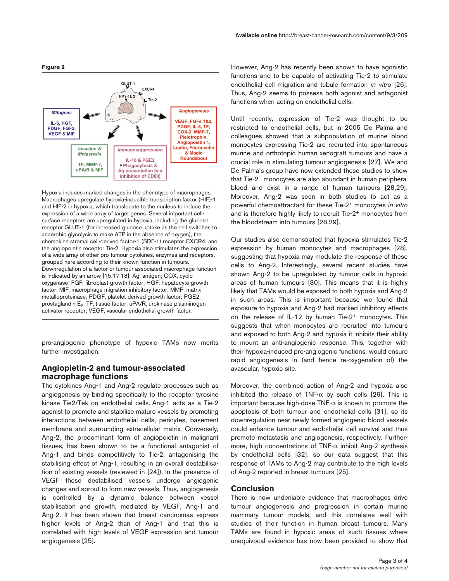

Hypoxia induces marked changes in the phenotype of macrophages. Macrophages upregulate hypoxia-inducible transcription factor (HIF)-1 and HIF-2 in hypoxia, which translocate to the nucleus to induce the expression of a wide array of target genes. Several important cellsurface receptors are upregulated in hypoxia, including the glucose receptor GLUT-1 (for increased glucose uptake as the cell switches to anaerobic glycolysis to make ATP in the absence of oxygen), the chemokine stromal cell-derived factor-1 (SDF-1) receptor CXCR4, and the angiopoietin receptor Tie-2. Hypoxia also stimulates the expression of a wide array of other pro-tumour cytokines, enzymes and receptors, grouped here according to their known function in tumours. Downregulation of a factor or tumour-associated macrophage function is indicated by an arrow [15,17,18]. Ag, antigen; COX, cyclooxygenase; FGF, fibroblast growth factor; HGF, hepatocyte growth factor; MIF, macrophage migration inhibitory factor; MMP, matrix metalloproteinase; PDGF, platelet-derived growth factor; PGE2, prostaglandin E<sub>2</sub>; TF, tissue factor; uPA/R, urokinase plasminogen activator receptor; VEGF, vascular endothelial growth factor.

pro-angiogenic phenotype of hypoxic TAMs now merits further investigation.

# **Angiopietin-2 and tumour-associated macrophage functions**

The cytokines Ang-1 and Ang-2 regulate processes such as angiogenesis by binding specifically to the receptor tyrosine kinase Tie2/Tek on endothelial cells. Ang-1 acts as a Tie-2 agonist to promote and stabilise mature vessels by promoting interactions between endothelial cells, pericytes, basement membrane and surrounding extracellular matrix. Conversely, Ang-2, the predominant form of angiopoietin in malignant tissues, has been shown to be a functional antagonist of Ang-1 and binds competitively to Tie-2, antagonising the stabilising effect of Ang-1, resulting in an overall destabilisation of existing vessels (reviewed in [24]). In the presence of VEGF these destabilised vessels undergo angiogenic changes and sprout to form new vessels. Thus, angiogenesis is controlled by a dynamic balance between vessel stabilisation and growth, mediated by VEGF, Ang-1 and Ang-2. It has been shown that breast carcinomas express higher levels of Ang-2 than of Ang-1 and that this is correlated with high levels of VEGF expression and tumour angiogenesis [25].

However, Ang-2 has recently been shown to have agonistic functions and to be capable of activating Tie-2 to stimulate endothelial cell migration and tubule formation *in vitro* [26]. Thus, Ang-2 seems to possess both agonist and antagonist functions when acting on endothelial cells.

Until recently, expression of Tie-2 was thought to be restricted to endothelial cells, but in 2005 De Palma and colleagues showed that a subpopulation of murine blood monocytes expressing Tie-2 are recruited into spontaneous murine and orthotopic human xenograft tumours and have a crucial role in stimulating tumour angiogenesis [27]. We and De Palma's group have now extended these studies to show that Tie-2+ monocytes are also abundant in human peripheral blood and exist in a range of human tumours [28,29]. Moreover, Ang-2 was seen in both studies to act as a powerful chemoattractant for these Tie-2+ monocytes *in vitro* and is therefore highly likely to recruit Tie-2+ monocytes from the bloodstream into tumours [28,29].

Our studies also demonstrated that hypoxia stimulates Tie-2 expression by human monocytes and macrophages [28], suggesting that hypoxia may modulate the response of these cells to Ang-2. Interestingly, several recent studies have shown Ang-2 to be upregulated by tumour cells in hypoxic areas of human tumours [30]. This means that it is highly likely that TAMs would be exposed to both hypoxia and Ang-2 in such areas. This is important because we found that exposure to hypoxia and Ang-2 had marked inhibitory effects on the release of IL-12 by human Tie-2+ monocytes. This suggests that when monocytes are recruited into tumours and exposed to both Ang-2 and hypoxia it inhibits their ability to mount an anti-angiogenic response. This, together with their hypoxia-induced pro-angiogenic functions, would ensure rapid angiogenesis in (and hence re-oxygenation of) the avascular, hypoxic site.

Moreover, the combined action of Ang-2 and hypoxia also inhibited the release of TNF- $\alpha$  by such cells [29]. This is important because high-dose  $TNF-\alpha$  is known to promote the apoptosis of both tumour and endothelial cells [31], so its downregulation near newly formed angiogenic blood vessels could enhance tumour and endothelial cell survival and thus promote metastasis and angiogenesis, respectively. Furthermore, high concentrations of TNF- $\alpha$  inhibit Ang-2 synthesis by endothelial cells [32], so our data suggest that this response of TAMs to Ang-2 may contribute to the high levels of Ang-2 reported in breast tumours [25].

### **Conclusion**

There is now undeniable evidence that macrophages drive tumour angiogenesis and progression in certain murine mammary tumour models, and this correlates well with studies of their function in human breast tumours. Many TAMs are found in hypoxic areas of such tissues where unequivocal evidence has now been provided to show that